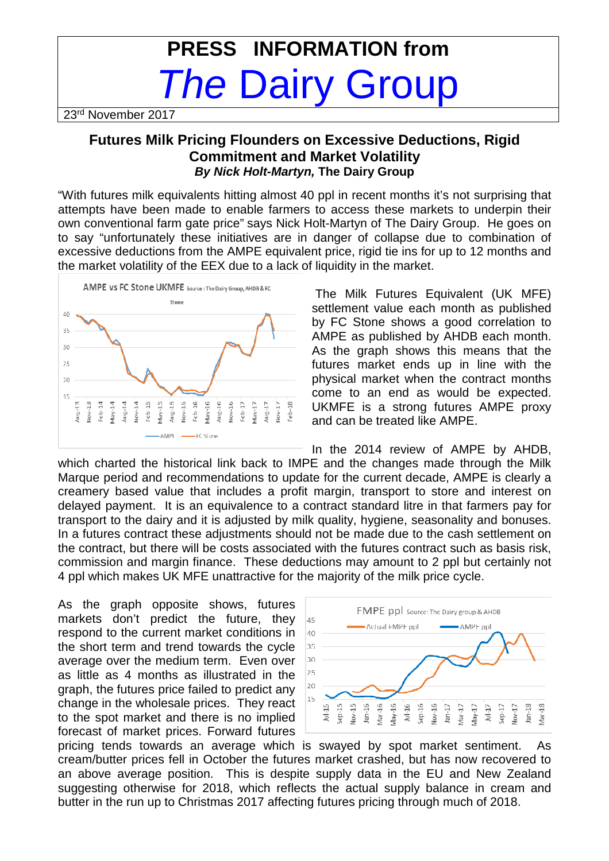## **PRESS INFORMATION from The Dairy Group**

23rd November 2017

## **Futures Milk Pricing Flounders on Excessive Deductions, Rigid Commitment and Market Volatility By Nick Holt-Martyn, The Dairy Group**

"With futures milk equivalents hitting almost 40 ppl in recent months it's not surprising that attempts have been made to enable farmers to access these markets to underpin their own conventional farm gate price" says Nick Holt-Martyn of The Dairy Group. He goes on to say "unfortunately these initiatives are in danger of collapse due to combination of excessive deductions from the AMPE equivalent price, rigid tie ins for up to 12 months and the market volatility of the EEX due to a lack of liquidity in the market.



 The Milk Futures Equivalent (UK MFE) settlement value each month as published by FC Stone shows a good correlation to AMPE as published by AHDB each month. As the graph shows this means that the futures market ends up in line with the physical market when the contract months come to an end as would be expected. UKMFE is a strong futures AMPE proxy and can be treated like AMPE.

In the 2014 review of AMPE by AHDB, which charted the historical link back to IMPE and the changes made through the Milk Marque period and recommendations to update for the current decade, AMPE is clearly a creamery based value that includes a profit margin, transport to store and interest on delayed payment. It is an equivalence to a contract standard litre in that farmers pay for transport to the dairy and it is adjusted by milk quality, hygiene, seasonality and bonuses. In a futures contract these adjustments should not be made due to the cash settlement on the contract, but there will be costs associated with the futures contract such as basis risk, commission and margin finance. These deductions may amount to 2 ppl but certainly not 4 ppl which makes UK MFE unattractive for the majority of the milk price cycle.

As the graph opposite shows, futures markets don't predict the future, they respond to the current market conditions in the short term and trend towards the cycle average over the medium term. Even over as little as 4 months as illustrated in the graph, the futures price failed to predict any change in the wholesale prices. They react to the spot market and there is no implied forecast of market prices. Forward futures



pricing tends towards an average which is swayed by spot market sentiment. As cream/butter prices fell in October the futures market crashed, but has now recovered to an above average position. This is despite supply data in the EU and New Zealand suggesting otherwise for 2018, which reflects the actual supply balance in cream and butter in the run up to Christmas 2017 affecting futures pricing through much of 2018.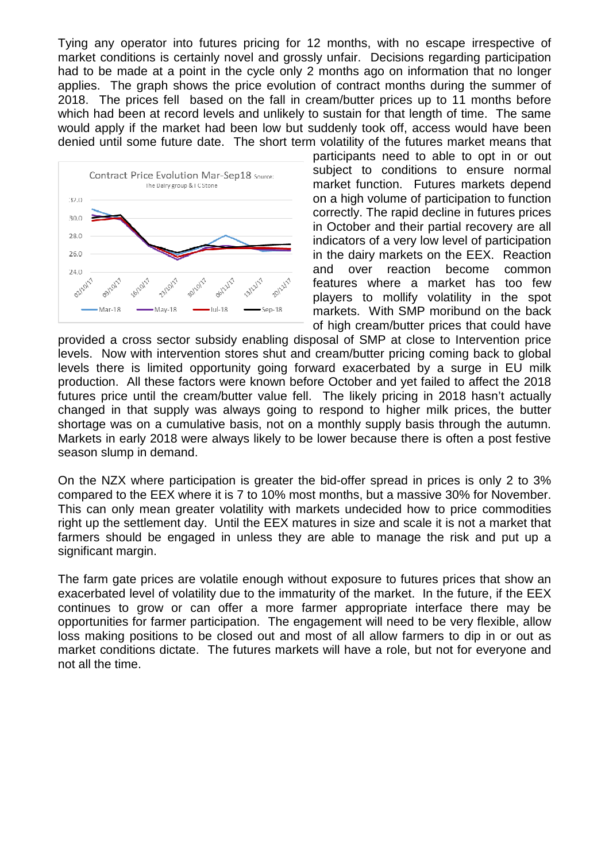Tying any operator into futures pricing for 12 months, with no escape irrespective of market conditions is certainly novel and grossly unfair. Decisions regarding participation had to be made at a point in the cycle only 2 months ago on information that no longer applies. The graph shows the price evolution of contract months during the summer of 2018. The prices fell based on the fall in cream/butter prices up to 11 months before which had been at record levels and unlikely to sustain for that length of time. The same would apply if the market had been low but suddenly took off, access would have been denied until some future date. The short term volatility of the futures market means that



participants need to able to opt in or out subject to conditions to ensure normal market function. Futures markets depend on a high volume of participation to function correctly. The rapid decline in futures prices in October and their partial recovery are all indicators of a very low level of participation in the dairy markets on the EEX. Reaction and over reaction become common features where a market has too few players to mollify volatility in the spot markets. With SMP moribund on the back of high cream/butter prices that could have

provided a cross sector subsidy enabling disposal of SMP at close to Intervention price levels. Now with intervention stores shut and cream/butter pricing coming back to global levels there is limited opportunity going forward exacerbated by a surge in EU milk production. All these factors were known before October and yet failed to affect the 2018 futures price until the cream/butter value fell. The likely pricing in 2018 hasn't actually changed in that supply was always going to respond to higher milk prices, the butter shortage was on a cumulative basis, not on a monthly supply basis through the autumn. Markets in early 2018 were always likely to be lower because there is often a post festive season slump in demand.

On the NZX where participation is greater the bid-offer spread in prices is only 2 to 3% compared to the EEX where it is 7 to 10% most months, but a massive 30% for November. This can only mean greater volatility with markets undecided how to price commodities right up the settlement day. Until the EEX matures in size and scale it is not a market that farmers should be engaged in unless they are able to manage the risk and put up a significant margin.

The farm gate prices are volatile enough without exposure to futures prices that show an exacerbated level of volatility due to the immaturity of the market. In the future, if the EEX continues to grow or can offer a more farmer appropriate interface there may be opportunities for farmer participation. The engagement will need to be very flexible, allow loss making positions to be closed out and most of all allow farmers to dip in or out as market conditions dictate. The futures markets will have a role, but not for everyone and not all the time.